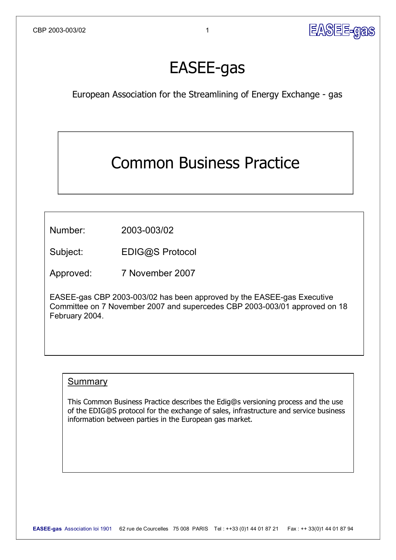

# **EASEE-gas**

European Association for the Streamlining of Energy Exchange - gas

## Common Business Practice

Number: 2003-003/02

Subject: [EDIG@S](mailto:EDIG@S) Protocol

Approved: 7 November 2007

EASEE-gas CBP 2003-003/02 has been approved by the EASEE-gas Executive Committee on 7 November 2007 and supercedes CBP 2003-003/01 approved on 18 February 2004.

#### Summary

This Common Business Practice describes the Edig@s versioning process and the use of the [EDIG@S](mailto:EDIG@S) protocol for the exchange of sales, infrastructure and service business information between parties in the European gas market.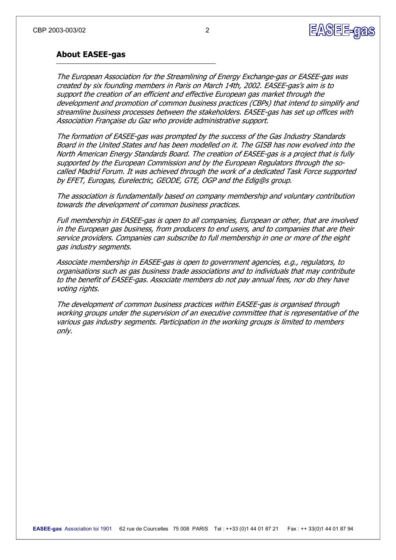

#### **About EASEE-gas**

The European Association for the Streamlining of Energy Exchange-gas or EASEE-gas was created by six founding members in Paris on March 14th, 2002. EASEE-gas's aim is to support the creation of an efficient and effective European gas market through the development and promotion of common business practices (CBPs) that intend to simplify and streamline business processes between the stakeholders. EASEE-gas has set up offices with Association Française du Gaz who provide administrative support.

The formation of EASEE-gas was prompted by the success of the Gas Industry Standards Board in the United States and has been modelled on it. The GISB has now evolved into the North American Energy Standards Board. The creation of EASEE-gas is a project that is fully supported by the European Commission and by the European Regulators through the socalled Madrid Forum. It was achieved through the work of a dedicated Task Force supported by EFET, Eurogas, Eurelectric, GEODE, GTE, OGP and the Edig@s group.

The association is fundamentally based on company membership and voluntary contribution towards the development of common business practices.

Full membership in EASEE-gas is open to all companies, European or other, that are involved in the European gas business, from producers to end users, and to companies that are their service providers. Companies can subscribe to full membership in one or more of the eight gas industry segments.

Associate membership in EASEE-gas is open to government agencies, e.g., regulators, to organisations such as gas business trade associations and to individuals that may contribute to the benefit of EASEE-gas. Associate members do not pay annual fees, nor do they have voting rights.

The development of common business practices within EASEE-gas is organised through working groups under the supervision of an executive committee that is representative of the various gas industry segments. Participation in the working groups is limited to members only.